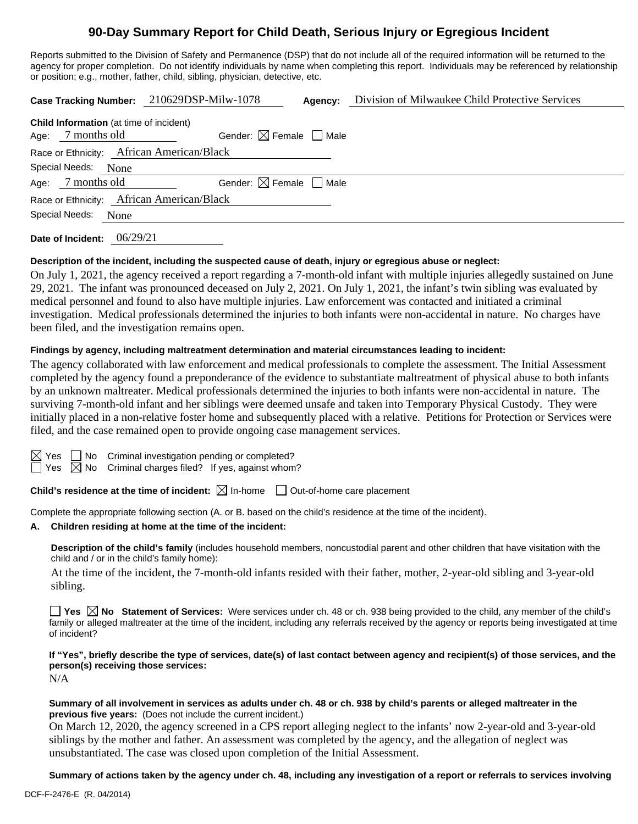# **90-Day Summary Report for Child Death, Serious Injury or Egregious Incident**

Reports submitted to the Division of Safety and Permanence (DSP) that do not include all of the required information will be returned to the agency for proper completion. Do not identify individuals by name when completing this report. Individuals may be referenced by relationship or position; e.g., mother, father, child, sibling, physician, detective, etc.

|                                                                     | Case Tracking Number: 210629DSP-Milw-1078 | Agency:                                | Division of Milwaukee Child Protective Services |
|---------------------------------------------------------------------|-------------------------------------------|----------------------------------------|-------------------------------------------------|
| <b>Child Information</b> (at time of incident)<br>Age: 7 months old |                                           | Gender: $\boxtimes$ Female $\Box$ Male |                                                 |
|                                                                     | Race or Ethnicity: African American/Black |                                        |                                                 |
| Special Needs: None                                                 |                                           |                                        |                                                 |
| Age: 7 months old                                                   |                                           | Gender: $\boxtimes$ Female $\Box$ Male |                                                 |
|                                                                     | Race or Ethnicity: African American/Black |                                        |                                                 |
| Special Needs:<br>None                                              |                                           |                                        |                                                 |
| Date of Incident:                                                   | 06/29/21                                  |                                        |                                                 |

# **Description of the incident, including the suspected cause of death, injury or egregious abuse or neglect:**

On July 1, 2021, the agency received a report regarding a 7-month-old infant with multiple injuries allegedly sustained on June 29, 2021. The infant was pronounced deceased on July 2, 2021. On July 1, 2021, the infant's twin sibling was evaluated by medical personnel and found to also have multiple injuries. Law enforcement was contacted and initiated a criminal investigation. Medical professionals determined the injuries to both infants were non-accidental in nature. No charges have been filed, and the investigation remains open.

# **Findings by agency, including maltreatment determination and material circumstances leading to incident:**

The agency collaborated with law enforcement and medical professionals to complete the assessment. The Initial Assessment completed by the agency found a preponderance of the evidence to substantiate maltreatment of physical abuse to both infants by an unknown maltreater. Medical professionals determined the injuries to both infants were non-accidental in nature. The surviving 7-month-old infant and her siblings were deemed unsafe and taken into Temporary Physical Custody. They were initially placed in a non-relative foster home and subsequently placed with a relative. Petitions for Protection or Services were filed, and the case remained open to provide ongoing case management services.

 $\Box$  No Criminal investigation pending or completed?  $\boxtimes$  No Criminal charges filed? If yes, against whom?

**Child's residence at the time of incident:**  $\boxtimes$  In-home  $\Box$  Out-of-home care placement

Complete the appropriate following section (A. or B. based on the child's residence at the time of the incident).

# **A. Children residing at home at the time of the incident:**

**Description of the child's family** (includes household members, noncustodial parent and other children that have visitation with the child and / or in the child's family home):

At the time of the incident, the 7-month-old infants resided with their father, mother, 2-year-old sibling and 3-year-old sibling.

■ Yes **No** Statement of Services: Were services under ch. 48 or ch. 938 being provided to the child, any member of the child's family or alleged maltreater at the time of the incident, including any referrals received by the agency or reports being investigated at time of incident?

**If "Yes", briefly describe the type of services, date(s) of last contact between agency and recipient(s) of those services, and the person(s) receiving those services:**

 $N/A$ 

#### **Summary of all involvement in services as adults under ch. 48 or ch. 938 by child's parents or alleged maltreater in the previous five years:** (Does not include the current incident.)

On March 12, 2020, the agency screened in a CPS report alleging neglect to the infants' now 2-year-old and 3-year-old siblings by the mother and father. An assessment was completed by the agency, and the allegation of neglect was unsubstantiated. The case was closed upon completion of the Initial Assessment.

**Summary of actions taken by the agency under ch. 48, including any investigation of a report or referrals to services involving**